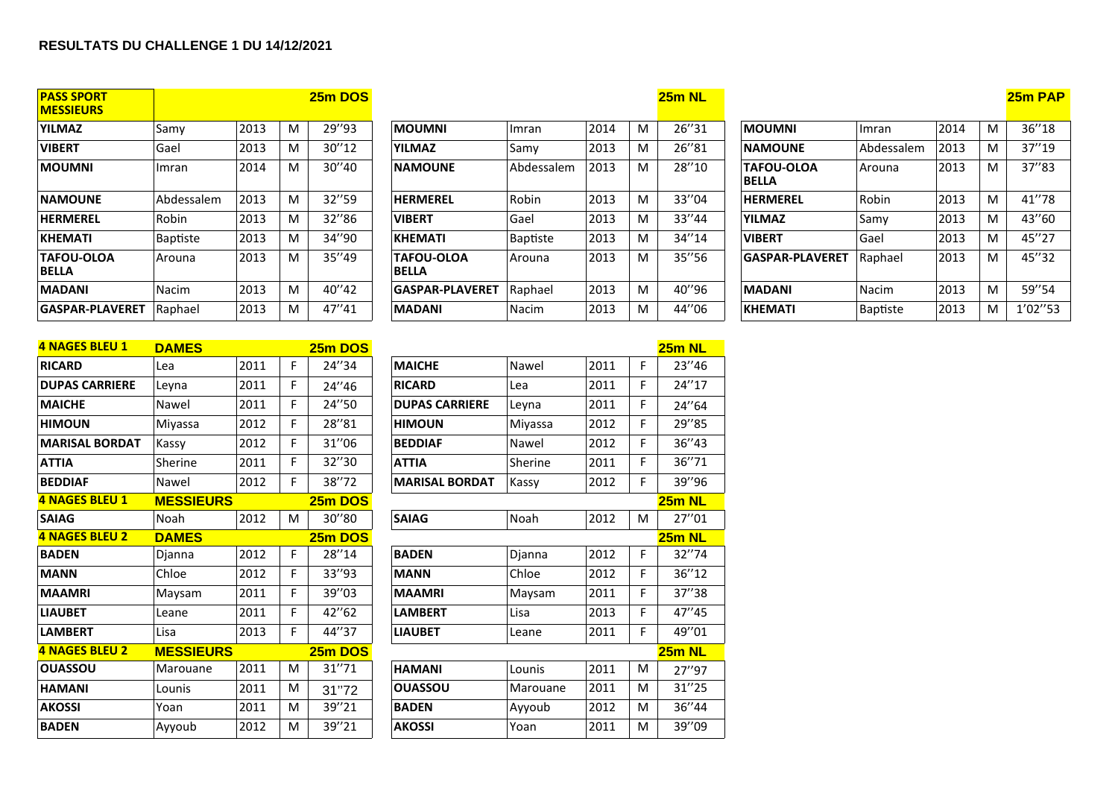## **RESULTATS DU CHALLENGE 1 DU 14/12/2021**

| <b>PASS SPORT</b><br><b>MESSIEURS</b> |            |      |   | 25m DOS |                            |                 |      |   | $25m$ NL |                                   |                 |      |   | 25m PAI |
|---------------------------------------|------------|------|---|---------|----------------------------|-----------------|------|---|----------|-----------------------------------|-----------------|------|---|---------|
| <b>YILMAZ</b>                         | Samy       | 2013 | M | 29"93   | <b>MOUMNI</b>              | Imran           | 2014 | M | 26"31    | <b>MOUMNI</b>                     | Imran           | 2014 | M | 36''18  |
| <b>VIBERT</b>                         | Gael       | 2013 | м | 30"12   | <b>YILMAZ</b>              | Samy            | 2013 | M | 26"81    | <b>NAMOUNE</b>                    | Abdessalem      | 2013 | M | 37"19   |
| <b>MOUMNI</b>                         | Imran      | 2014 | м | 30''40  | <b>NAMOUNE</b>             | Abdessalem      | 2013 | M | 28"10    | <b>TAFOU-OLOA</b><br><b>BELLA</b> | Arouna          | 2013 | M | 37"83   |
| <b>NAMOUNE</b>                        | Abdessalem | 2013 | м | 32"59   | <b>HERMEREL</b>            | Robin           | 2013 | M | 33"04    | <b>HERMEREL</b>                   | Robin           | 2013 | M | 41"78   |
| <b>HERMEREL</b>                       | Robin      | 2013 | м | 32"86   | <b>VIBERT</b>              | Gael            | 2013 | M | 33''44   | <b>YILMAZ</b>                     | Samy            | 2013 | M | 43"60   |
| <b>KHEMATI</b>                        | Baptiste   | 2013 | м | 34"90   | <b>KHEMATI</b>             | <b>Baptiste</b> | 2013 | M | 34"14    | <b>VIBERT</b>                     | Gael            | 2013 | M | 45"27   |
| <b>TAFOU-OLOA</b><br>BELLA            | Arouna     | 2013 | М | 35"49   | <b>TAFOU-OLOA</b><br>BELLA | Arouna          | 2013 | M | 35"56    | <b>GASPAR-PLAVERET</b>            | Raphael         | 2013 |   | 45"32   |
| <b>MADANI</b>                         | Nacim      | 2013 | M | 40"42   | <b>GASPAR-PLAVERET</b>     | Raphael         | 2013 | M | 40"96    | <b>MADANI</b>                     | Nacim           | 2013 | M | 59"54   |
| <b>GASPAR-PLAVERET</b>                | Raphael    | 2013 | M | 47"41   | <b>MADANI</b>              | Nacim           | 2013 | M | 44"06    | <b>KHEMATI</b>                    | <b>Baptiste</b> | 2013 |   | 1'02"53 |

| <u>4 NAGES BLEU I</u> | <b>DAMES</b>     |      |   | 25m DOS        |                       |          |      |   | <b>25m NL</b> |
|-----------------------|------------------|------|---|----------------|-----------------------|----------|------|---|---------------|
| <b>RICARD</b>         | Lea              | 2011 | F | 24"34          | <b>MAICHE</b>         | Nawel    | 2011 | F | 23"46         |
| <b>DUPAS CARRIERE</b> | Leyna            | 2011 | F | 24"46          | <b>RICARD</b>         | Lea      | 2011 | F | 24"17         |
| <b>MAICHE</b>         | Nawel            | 2011 | F | 24"50          | <b>DUPAS CARRIERE</b> | Leyna    | 2011 | F | 24"64         |
| <b>HIMOUN</b>         | Miyassa          | 2012 | F | 28"81          | <b>HIMOUN</b>         | Miyassa  | 2012 | F | 29"85         |
| <b>MARISAL BORDAT</b> | Kassy            | 2012 | F | 31"06          | <b>BEDDIAF</b>        | Nawel    | 2012 | F | 36"43         |
| <b>ATTIA</b>          | Sherine          | 2011 | F | 32"30          | <b>ATTIA</b>          | Sherine  | 2011 | F | 36"71         |
| <b>BEDDIAF</b>        | Nawel            | 2012 | F | 38"72          | <b>MARISAL BORDAT</b> | Kassy    | 2012 | F | 39"96         |
| <b>4 NAGES BLEU 1</b> | <b>MESSIEURS</b> |      |   | <b>25m DOS</b> |                       |          |      |   | 25m NL        |
| <b>SAIAG</b>          | Noah             | 2012 | M | 30"80          | <b>SAIAG</b>          | Noah     | 2012 | M | 27"01         |
| <b>4 NAGES BLEU 2</b> | <b>DAMES</b>     |      |   | <b>25m DOS</b> |                       |          |      |   | 25m NL        |
| <b>BADEN</b>          | Djanna           | 2012 | F | 28"14          | <b>BADEN</b>          | Djanna   | 2012 | F | 32"74         |
| <b>MANN</b>           | Chloe            | 2012 | F | 33"93          | <b>MANN</b>           | Chloe    | 2012 | F | 36"12         |
| <b>MAAMRI</b>         | Maysam           | 2011 | F | 39"03          | <b>MAAMRI</b>         | Maysam   | 2011 | F | 37"38         |
| <b>LIAUBET</b>        | Leane            | 2011 | F | 42"62          | <b>LAMBERT</b>        | Lisa     | 2013 | F | 47"45         |
| <b>LAMBERT</b>        | Lisa             | 2013 | F | 44"37          | <b>LIAUBET</b>        | Leane    | 2011 | F | 49"01         |
| <b>4 NAGES BLEU 2</b> | <b>MESSIEURS</b> |      |   | 25m DOS        |                       |          |      |   | 25m NL        |
| <b>OUASSOU</b>        | Marouane         | 2011 | м | 31"71          | <b>HAMANI</b>         | Lounis   | 2011 | М | 27"97         |
| <b>HAMANI</b>         | Lounis           | 2011 | M | 31"72          | <b>OUASSOU</b>        | Marouane | 2011 | M | 31"25         |
| <b>AKOSSI</b>         | Yoan             | 2011 | M | 39"21          | <b>BADEN</b>          | Ayyoub   | 2012 | М | 36"44         |
| <b>BADEN</b>          | Ayyoub           | 2012 | M | 39"21          | <b>AKOSSI</b>         | Yoan     | 2011 | M | 39"09         |

| 2013 | M | 29"93  | <b>MOUMNI</b>                     | Imran      | 2014 | M | 26"31 | <b>MOUMNI</b>                     | Imran      | 2014                   | M | 36"18   |
|------|---|--------|-----------------------------------|------------|------|---|-------|-----------------------------------|------------|------------------------|---|---------|
| 2013 | M | 30''12 | <b>YILMAZ</b>                     | Samy       | 2013 | M | 26"81 | <b>NAMOUNE</b>                    | Abdessalem | 2013                   | M | 37"19   |
| 2014 | M | 30''40 | <b>NAMOUNE</b>                    | Abdessalem | 2013 | M | 28"10 | <b>TAFOU-OLOA</b><br><b>BELLA</b> | Arouna     | 2013                   | M | 37"83   |
| 2013 | M | 32"59  | <b>HERMEREL</b>                   | Robin      | 2013 | M | 33"04 | <b>HERMEREL</b>                   | Robin      | 2013                   | M | 41"78   |
| 2013 | M | 32"86  | <b>VIBERT</b>                     | Gael       | 2013 | M | 33"44 | <b>YILMAZ</b>                     | Samy       | 2013                   | M | 43"60   |
| 2013 | M | 34"90  | <b>KHEMATI</b>                    | Baptiste   | 2013 | M | 34"14 | <b>VIBERT</b>                     | Gael       | 2013                   | M | 45"27   |
| 2013 | M | 35''49 | <b>TAFOU-OLOA</b><br><b>BELLA</b> | Arouna     | 2013 | M | 35"56 |                                   | Raphael    | 2013                   | M | 45"32   |
| 2013 | M | 40"42  | <b>GASPAR-PLAVERET</b>            | Raphael    | 2013 | M | 40"96 | <b>MADANI</b>                     | Nacim      | 2013                   | M | 59"54   |
| 2013 | м | 47"41  | <b>MADANI</b>                     | Nacim      | 2013 | M | 44"06 | <b>KHEMATI</b>                    | Baptiste   | 2013                   | M | 1'02''5 |
|      |   |        |                                   |            |      |   |       |                                   |            | <b>GASPAR-PLAVERET</b> |   |         |

| 4 NAGES BLEU 1        | <b>DAMES</b>     |      |    | 25m DOS |                       |          |      |    | <b>25m NL</b> |
|-----------------------|------------------|------|----|---------|-----------------------|----------|------|----|---------------|
| <b>RICARD</b>         | Lea              | 2011 | F  | 24"34   | <b>MAICHE</b>         | Nawel    | 2011 | F. | 23"46         |
| <b>DUPAS CARRIERE</b> | Leyna            | 2011 | F  | 24"46   | <b>RICARD</b>         | Lea      | 2011 | F  | 24"17         |
| <b>MAICHE</b>         | Nawel            | 2011 | F  | 24"50   | <b>DUPAS CARRIERE</b> | Leyna    | 2011 | F  | 24"64         |
| <b>HIMOUN</b>         | Miyassa          | 2012 | F  | 28"81   | <b>HIMOUN</b>         | Miyassa  | 2012 | F. | 29"85         |
| <b>MARISAL BORDAT</b> | Kassy            | 2012 | F  | 31"06   | <b>BEDDIAF</b>        | Nawel    | 2012 | F  | 36"43         |
| <b>ATTIA</b>          | Sherine          | 2011 | F  | 32"30   | <b>ATTIA</b>          | Sherine  | 2011 | F  | 36"71         |
| <b>BEDDIAF</b>        | Nawel            | 2012 | F  | 38"72   | <b>MARISAL BORDAT</b> | Kassy    | 2012 | F  | 39"96         |
| <b>4 NAGES BLEU 1</b> | <b>MESSIEURS</b> |      |    | 25m DOS |                       |          |      |    | 25m NL        |
| <b>SAIAG</b>          | Noah             | 2012 | M  | 30"80   | <b>SAIAG</b>          | Noah     | 2012 | M  | 27"01         |
| <b>4 NAGES BLEU 2</b> | <b>DAMES</b>     |      |    | 25m DOS |                       |          |      |    | 25m NL        |
| <b>BADEN</b>          | Djanna           | 2012 | F. | 28"14   | <b>BADEN</b>          | Djanna   | 2012 | F  | 32"74         |
| <b>MANN</b>           | Chloe            | 2012 | F  | 33"93   | <b>MANN</b>           | Chloe    | 2012 | F  | 36"12         |
| <b>MAAMRI</b>         | Maysam           | 2011 | F  | 39"03   | <b>MAAMRI</b>         | Maysam   | 2011 | F  | 37"38         |
| <b>LIAUBET</b>        | Leane            | 2011 | F  | 42"62   | <b>LAMBERT</b>        | Lisa     | 2013 | F  | 47"45         |
| <b>LAMBERT</b>        | Lisa             | 2013 | F  | 44"37   | <b>LIAUBET</b>        | Leane    | 2011 | F  | 49"01         |
| 4 NAGES BLEU 2        | <b>MESSIEURS</b> |      |    | 25m DOS |                       |          |      |    | 25m NL        |
| <b>OUASSOU</b>        | Marouane         | 2011 | M  | 31"71   | <b>HAMANI</b>         | Lounis   | 2011 | M  | 27"97         |
| <b>HAMANI</b>         | Lounis           | 2011 | M  | 31"72   | <b>OUASSOU</b>        | Marouane | 2011 | M  | 31"25         |
| <b>AKOSSI</b>         | Yoan             | 2011 | M  | 39"21   | <b>BADEN</b>          | Ayyoub   | 2012 | M  | 36"44         |
| <b>BADEN</b>          | Ayyoub           | 2012 | M  | 39"21   | <b>AKOSSI</b>         | Yoan     | 2011 | M  | 39"09         |

| 25m DOS |                                   |                 |      |   | 25m NL |                                   |                 |      |   | 25m PAP  |
|---------|-----------------------------------|-----------------|------|---|--------|-----------------------------------|-----------------|------|---|----------|
| 29"93   | <b>MOUMNI</b>                     | Imran           | 2014 | M | 26"31  | <b>MOUMNI</b>                     | Imran           | 2014 | M | 36''18   |
| 30''12  | <b>YILMAZ</b>                     | Samy            | 2013 | M | 26"81  | <b>NAMOUNE</b>                    | Abdessalem      | 2013 | M | 37''19   |
| 30''40  | <b>NAMOUNE</b>                    | Abdessalem      | 2013 | M | 28"10  | <b>TAFOU-OLOA</b><br><b>BELLA</b> | Arouna          | 2013 | M | 37''83   |
| 32"59   | <b>HERMEREL</b>                   | Robin           | 2013 | M | 33"04  | <b>HERMEREL</b>                   | Robin           | 2013 | M | 41"78    |
| 32"86   | <b>VIBERT</b>                     | Gael            | 2013 | M | 33"44  | <b>YILMAZ</b>                     | Samy            | 2013 | M | 43"60    |
| 34"90   | <b>KHEMATI</b>                    | <b>Baptiste</b> | 2013 | M | 34"14  | <b>VIBERT</b>                     | Gael            | 2013 | M | 45"27    |
| 35''49  | <b>TAFOU-OLOA</b><br><b>BELLA</b> | Arouna          | 2013 | M | 35"56  | <b>GASPAR-PLAVERET</b>            | Raphael         | 2013 | M | 45"32    |
| 40"42   | <b>GASPAR-PLAVERET</b>            | Raphael         | 2013 | M | 40"96  | <b>MADANI</b>                     | Nacim           | 2013 | M | 59"54    |
| 47''41  | <b>MADANI</b>                     | <b>Nacim</b>    | 2013 | M | 44"06  | <b>KHEMATI</b>                    | <b>Baptiste</b> | 2013 | M | 1'02''53 |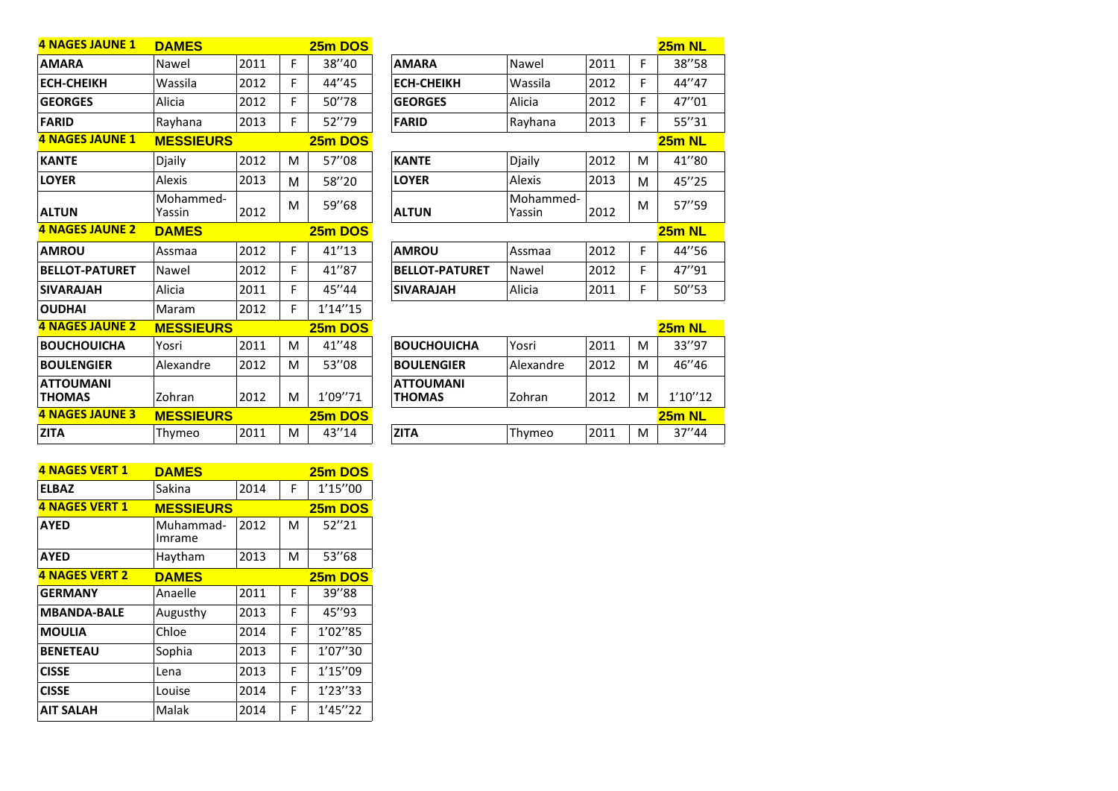| <b>4 NAGES JAUNE 1</b>            | <b>DAMES</b>        |      |    | 25m DOS        |                                   |                     |      |    | 25m NL  |
|-----------------------------------|---------------------|------|----|----------------|-----------------------------------|---------------------|------|----|---------|
| <b>AMARA</b>                      | Nawel               | 2011 | F  | 38"40          | <b>AMARA</b>                      | Nawel               | 2011 | F  | 38"58   |
| <b>ECH-CHEIKH</b>                 | Wassila             | 2012 | F  | 44"45          | <b>ECH-CHEIKH</b>                 | Wassila             | 2012 | F  | 44"47   |
| <b>GEORGES</b>                    | Alicia              | 2012 | F  | 50"78          | <b>GEORGES</b>                    | Alicia              | 2012 | F  | 47"01   |
| <b>FARID</b>                      | Rayhana             | 2013 | F. | 52"79          | <b>FARID</b>                      | Rayhana             | 2013 | F  | 55"31   |
| <b>4 NAGES JAUNE 1</b>            | <b>MESSIEURS</b>    |      |    | 25m DOS        |                                   |                     |      |    | 25m NL  |
| <b>KANTE</b>                      | Djaily              | 2012 | M  | 57"08          | <b>KANTE</b>                      | Djaily              | 2012 | M  | 41"80   |
| <b>LOYER</b>                      | Alexis              | 2013 | м  | 58"20          | <b>LOYER</b>                      | Alexis              | 2013 | м  | 45"25   |
| <b>ALTUN</b>                      | Mohammed-<br>Yassin | 2012 | M  | 59"68          | <b>ALTUN</b>                      | Mohammed-<br>Yassin | 2012 | M  | 57"59   |
| <b>4 NAGES JAUNE 2</b>            | <b>DAMES</b>        |      |    | 25m DOS        |                                   |                     |      |    | 25m NL  |
| <b>AMROU</b>                      | Assmaa              | 2012 | F  | 41''13         | <b>AMROU</b>                      | Assmaa              | 2012 | F  | 44"56   |
| <b>BELLOT-PATURET</b>             | Nawel               | 2012 | F  | 41"87          | <b>BELLOT-PATURET</b>             | Nawel               | 2012 | F  | 47"91   |
| <b>SIVARAJAH</b>                  | Alicia              | 2011 | F  | 45"44          | <b>SIVARAJAH</b>                  | Alicia              | 2011 | F. | 50"53   |
| <b>OUDHAI</b>                     | Maram               | 2012 | F. | 1'14''15       |                                   |                     |      |    |         |
| <b>4 NAGES JAUNE 2</b>            | <b>MESSIEURS</b>    |      |    | 25m DOS        |                                   |                     |      |    | 25m NL  |
| <b>BOUCHOUICHA</b>                | Yosri               | 2011 | M  | 41"48          | <b>BOUCHOUICHA</b>                | Yosri               | 2011 | M  | 33"97   |
| <b>BOULENGIER</b>                 | Alexandre           | 2012 | M  | 53"08          | <b>BOULENGIER</b>                 | Alexandre           | 2012 | M  | 46"46   |
| <b>ATTOUMANI</b><br><b>THOMAS</b> | Zohran              | 2012 | M  | 1'09"71        | <b>ATTOUMANI</b><br><b>THOMAS</b> | Zohran              | 2012 | M  | 1'10''1 |
| <b>4 NAGES JAUNE 3</b>            | <b>MESSIEURS</b>    |      |    | <b>25m DOS</b> |                                   |                     |      |    | 25m NL  |
| <b>ZITA</b>                       | Thymeo              | 2011 | M  | 43"14          | <b>ZITA</b>                       | Thymeo              | 2011 | M  | 37"44   |
|                                   |                     |      |    |                |                                   |                     |      |    |         |

|                       |                     |      |   | $25m$ NL      |
|-----------------------|---------------------|------|---|---------------|
| <b>AMARA</b>          | Nawel               | 2011 | F | 38"58         |
| <b>ECH-CHEIKH</b>     | Wassila             | 2012 | F | 44"47         |
| <b>GEORGES</b>        | Alicia              | 2012 | F | 47"01         |
| <b>FARID</b>          | Rayhana             | 2013 | F | 55"31         |
|                       |                     |      |   | <b>25m NL</b> |
| <b>KANTE</b>          | Djaily              | 2012 | м | 41"80         |
| <b>LOYER</b>          | Alexis              | 2013 | М | 45"25         |
| <b>ALTUN</b>          | Mohammed-<br>Yassin | 2012 | м | 57"59         |
|                       |                     |      |   | $25m$ NL      |
| <b>AMROU</b>          | Assmaa              | 2012 | F | 44"56         |
| <b>BELLOT-PATURET</b> | Nawel               | 2012 | F | 47"91         |
| <b>SIVARAJAH</b>      | Alicia              | 2011 | F | 50''53        |

| <u>UUDI IAI</u>                   | <u>ivial alli</u> | ZUIZ |   | 1 14 IJ |                                   |           |      |   |          |
|-----------------------------------|-------------------|------|---|---------|-----------------------------------|-----------|------|---|----------|
| 4 NAGES JAUNE 2                   | <b>MESSIEURS</b>  |      |   | 25m DOS |                                   |           |      |   | 25m NL   |
| <b>BOUCHOUICHA</b>                | Yosri             | 2011 | M | 41"48   | <b>BOUCHOUICHA</b>                | Yosri     | 2011 | м | 33"97    |
| <b>BOULENGIER</b>                 | Alexandre         | 2012 | M | 53"08   | <b>BOULENGIER</b>                 | Alexandre | 2012 | м | 46′′46   |
| <b>ATTOUMANI</b><br><b>THOMAS</b> | Zohran            | 2012 | M | 1'09"71 | <b>ATTOUMANI</b><br><b>THOMAS</b> | Zohran    | 2012 | м | 1'10''12 |
| 4 NAGES JAUNE 3                   | <b>MESSIEURS</b>  |      |   | 25m DOS |                                   |           |      |   | 25m NL   |
| <b>ZITA</b>                       | Thymeo            | 2011 | M | 43"14   | <b>ZITA</b>                       | Thymeo    | 2011 | м | 37''44   |

| <b>4 NAGES VERT 1</b> | <b>DAMES</b>        |      |   | 25m DOS        |
|-----------------------|---------------------|------|---|----------------|
| <b>ELBAZ</b>          | Sakina              | 2014 | F | 1'15''00       |
| <b>4 NAGES VERT 1</b> | <b>MESSIEURS</b>    |      |   | <b>25m DOS</b> |
| <b>AYED</b>           | Muhammad-<br>Imrame | 2012 | м | 52''21         |
| <b>AYED</b>           | Haytham             | 2013 | м | 53"68          |
| <b>4 NAGES VERT 2</b> | <b>DAMES</b>        |      |   | 25m DOS        |
| <b>GERMANY</b>        | Anaelle             | 2011 | F | 39"88          |
| <b>MBANDA-BALE</b>    | Augusthy            | 2013 | F | 45"93          |
| <b>MOULIA</b>         | Chloe               | 2014 | F | 1'02"85        |
| <b>BENETEAU</b>       | Sophia              | 2013 | F | 1'07"30        |
| <b>CISSE</b>          | Lena                | 2013 | F | 1'15''09       |
| <b>CISSE</b>          | Louise              | 2014 | F | 1'23''33       |
| <b>AIT SALAH</b>      | Malak               | 2014 | F | 1'45''22       |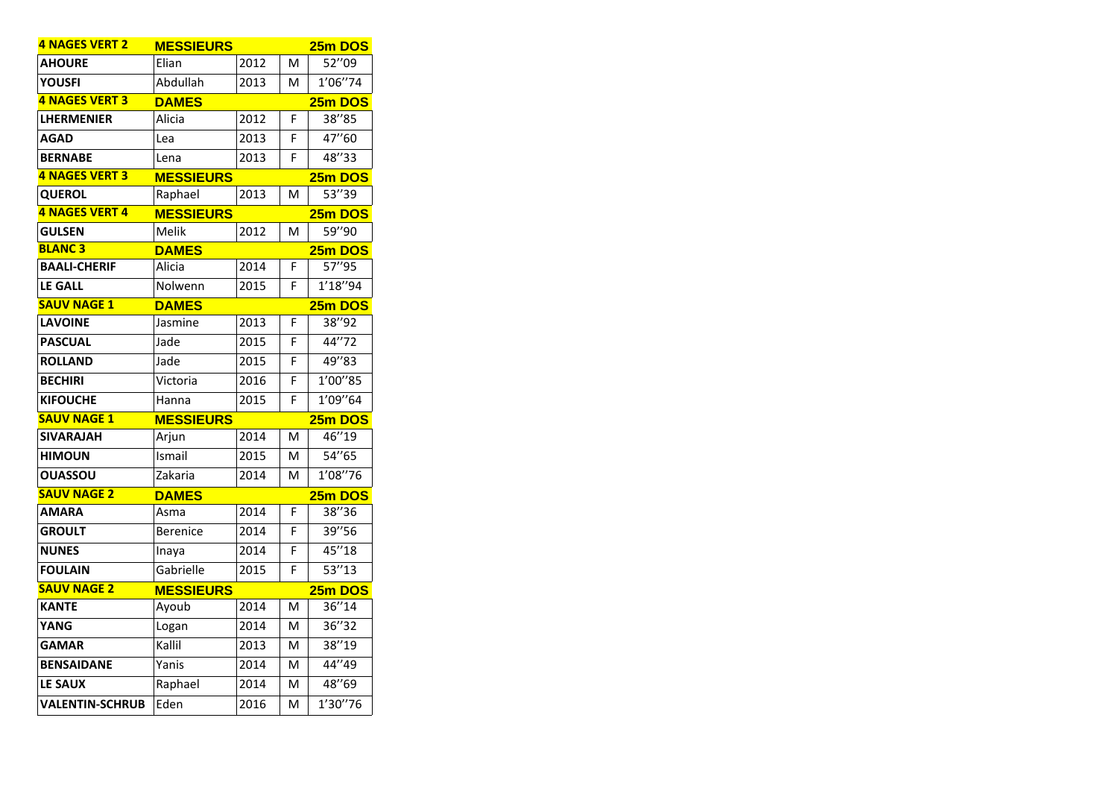| <b>4 NAGES VERT 2</b>  | <b>MESSIEURS</b> |      |   | 25m DOS |
|------------------------|------------------|------|---|---------|
| <b>AHOURE</b>          | Elian            | 2012 | M | 52"09   |
| <b>YOUSFI</b>          | Abdullah         | 2013 | м | 1'06"74 |
| <b>4 NAGES VERT 3</b>  | <b>DAMES</b>     |      |   | 25m DOS |
| <b>LHERMENIER</b>      | Alicia           | 2012 | F | 38"85   |
| <b>AGAD</b>            | Lea              | 2013 | F | 47"60   |
| <b>BERNABE</b>         | Lena             | 2013 | F | 48"33   |
| 4 NAGES VERT 3         | <b>MESSIEURS</b> |      |   | 25m DOS |
| <b>QUEROL</b>          | Raphael          | 2013 | M | 53"39   |
| 4 NAGES VERT 4         | <b>MESSIEURS</b> |      |   | 25m DOS |
| <b>GULSEN</b>          | Melik            | 2012 | M | 59''90  |
| <b>BLANC3</b>          | <b>DAMES</b>     |      |   | 25m DOS |
| <b>BAALI-CHERIF</b>    | Alicia           | 2014 | F | 57''95  |
| <b>LE GALL</b>         | Nolwenn          | 2015 | F | 1'18"94 |
| <b>SAUV NAGE 1</b>     | <b>DAMES</b>     |      |   | 25m DOS |
| <b>LAVOINE</b>         | Jasmine          | 2013 | F | 38"92   |
| <b>PASCUAL</b>         | Jade             | 2015 | F | 44"72   |
| <b>ROLLAND</b>         | Jade             | 2015 | F | 49"83   |
| <b>BECHIRI</b>         | Victoria         | 2016 | F | 1'00"85 |
| <b>KIFOUCHE</b>        | Hanna            | 2015 | F | 1'09"64 |
| <b>SAUV NAGE 1</b>     | <b>MESSIEURS</b> |      |   | 25m DOS |
| <b>SIVARAJAH</b>       | Arjun            | 2014 | M | 46"19   |
| <b>HIMOUN</b>          | Ismail           | 2015 | м | 54"65   |
| <b>OUASSOU</b>         | Zakaria          | 2014 | м | 1'08"76 |
| <b>SAUV NAGE 2</b>     | <b>DAMES</b>     |      |   | 25m DOS |
| <b>AMARA</b>           | Asma             | 2014 | F | 38"36   |
| <b>GROULT</b>          | <b>Berenice</b>  | 2014 | F | 39"56   |
| <b>NUNES</b>           | Inaya            | 2014 | F | 45"18   |
| <b>FOULAIN</b>         | Gabrielle        | 2015 | F | 53"13   |
| <b>SAUV NAGE 2</b>     | <b>MESSIEURS</b> |      |   | 25m DOS |
| <b>KANTE</b>           | Ayoub            | 2014 | M | 36"14   |
| YANG                   | Logan            | 2014 | M | 36"32   |
| <b>GAMAR</b>           | Kallil           | 2013 | м | 38"19   |
| <b>BENSAIDANE</b>      | Yanis            | 2014 | M | 44"49   |
| <b>LE SAUX</b>         | Raphael          | 2014 | M | 48"69   |
| <b>VALENTIN-SCHRUB</b> | Eden             | 2016 | M | 1'30"76 |